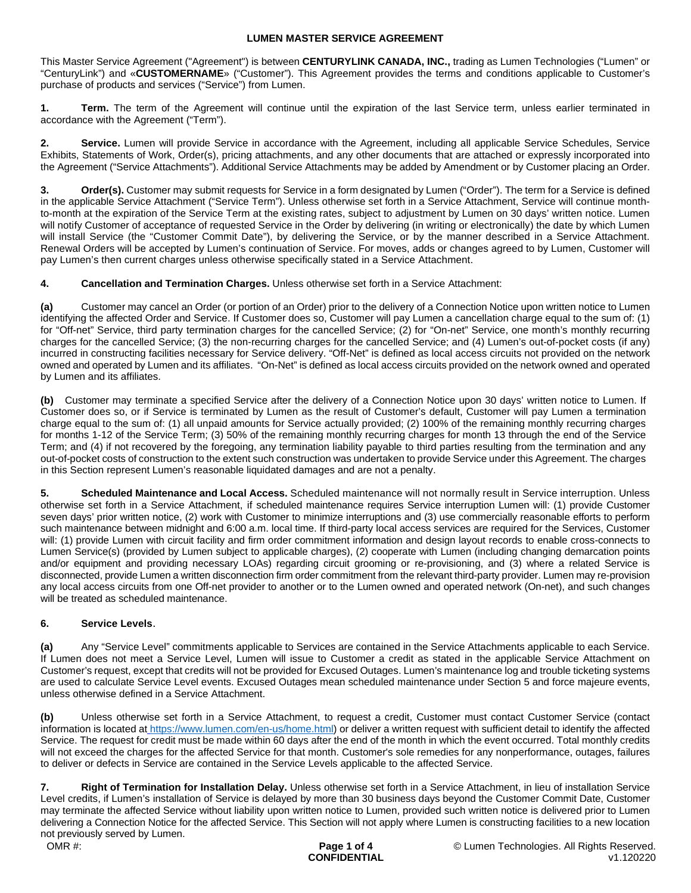This Master Service Agreement ("Agreement") is between **CENTURYLINK CANADA, INC.,** trading as Lumen Technologies ("Lumen" or "CenturyLink") and «**CUSTOMERNAME**» ("Customer"). This Agreement provides the terms and conditions applicable to Customer's purchase of products and services ("Service") from Lumen.

**1. Term.** The term of the Agreement will continue until the expiration of the last Service term, unless earlier terminated in accordance with the Agreement ("Term").

**2. Service.** Lumen will provide Service in accordance with the Agreement, including all applicable Service Schedules, Service Exhibits, Statements of Work, Order(s), pricing attachments, and any other documents that are attached or expressly incorporated into the Agreement ("Service Attachments"). Additional Service Attachments may be added by Amendment or by Customer placing an Order.

**Order(s).** Customer may submit requests for Service in a form designated by Lumen ("Order"). The term for a Service is defined in the applicable Service Attachment ("Service Term"). Unless otherwise set forth in a Service Attachment, Service will continue monthto-month at the expiration of the Service Term at the existing rates, subject to adjustment by Lumen on 30 days' written notice. Lumen will notify Customer of acceptance of requested Service in the Order by delivering (in writing or electronically) the date by which Lumen will install Service (the "Customer Commit Date"), by delivering the Service, or by the manner described in a Service Attachment. Renewal Orders will be accepted by Lumen's continuation of Service. For moves, adds or changes agreed to by Lumen, Customer will pay Lumen's then current charges unless otherwise specifically stated in a Service Attachment.

**4. Cancellation and Termination Charges.** Unless otherwise set forth in a Service Attachment:

**(a)** Customer may cancel an Order (or portion of an Order) prior to the delivery of a Connection Notice upon written notice to Lumen identifying the affected Order and Service. If Customer does so, Customer will pay Lumen a cancellation charge equal to the sum of: (1) for "Off-net" Service, third party termination charges for the cancelled Service; (2) for "On-net" Service, one month's monthly recurring charges for the cancelled Service; (3) the non-recurring charges for the cancelled Service; and (4) Lumen's out-of-pocket costs (if any) incurred in constructing facilities necessary for Service delivery. "Off-Net" is defined as local access circuits not provided on the network owned and operated by Lumen and its affiliates. "On-Net" is defined as local access circuits provided on the network owned and operated by Lumen and its affiliates.

**(b)** Customer may terminate a specified Service after the delivery of a Connection Notice upon 30 days' written notice to Lumen. If Customer does so, or if Service is terminated by Lumen as the result of Customer's default, Customer will pay Lumen a termination charge equal to the sum of: (1) all unpaid amounts for Service actually provided; (2) 100% of the remaining monthly recurring charges for months 1-12 of the Service Term; (3) 50% of the remaining monthly recurring charges for month 13 through the end of the Service Term; and (4) if not recovered by the foregoing, any termination liability payable to third parties resulting from the termination and any out-of-pocket costs of construction to the extent such construction was undertaken to provide Service under this Agreement. The charges in this Section represent Lumen's reasonable liquidated damages and are not a penalty.

**5. Scheduled Maintenance and Local Access.** Scheduled maintenance will not normally result in Service interruption. Unless otherwise set forth in a Service Attachment, if scheduled maintenance requires Service interruption Lumen will: (1) provide Customer seven days' prior written notice, (2) work with Customer to minimize interruptions and (3) use commercially reasonable efforts to perform such maintenance between midnight and 6:00 a.m. local time. If third-party local access services are required for the Services, Customer will: (1) provide Lumen with circuit facility and firm order commitment information and design layout records to enable cross-connects to Lumen Service(s) (provided by Lumen subject to applicable charges), (2) cooperate with Lumen (including changing demarcation points and/or equipment and providing necessary LOAs) regarding circuit grooming or re-provisioning, and (3) where a related Service is disconnected, provide Lumen a written disconnection firm order commitment from the relevant third-party provider. Lumen may re-provision any local access circuits from one Off-net provider to another or to the Lumen owned and operated network (On-net), and such changes will be treated as scheduled maintenance.

# **6. Service Levels**.

**(a)** Any "Service Level" commitments applicable to Services are contained in the Service Attachments applicable to each Service. If Lumen does not meet a Service Level, Lumen will issue to Customer a credit as stated in the applicable Service Attachment on Customer's request, except that credits will not be provided for Excused Outages. Lumen's maintenance log and trouble ticketing systems are used to calculate Service Level events. Excused Outages mean scheduled maintenance under Section 5 and force majeure events, unless otherwise defined in a Service Attachment.

**(b)** Unless otherwise set forth in a Service Attachment, to request a credit, Customer must contact Customer Service (contact information is located at [https://www.lumen.com/en-us/home.html\)](https://www.lumen.com/en-us/home.html) or deliver a written request with sufficient detail to identify the affected Service. The request for credit must be made within 60 days after the end of the month in which the event occurred. Total monthly credits will not exceed the charges for the affected Service for that month. Customer's sole remedies for any nonperformance, outages, failures to deliver or defects in Service are contained in the Service Levels applicable to the affected Service.

**7. Right of Termination for Installation Delay.** Unless otherwise set forth in a Service Attachment, in lieu of installation Service Level credits, if Lumen's installation of Service is delayed by more than 30 business days beyond the Customer Commit Date, Customer may terminate the affected Service without liability upon written notice to Lumen, provided such written notice is delivered prior to Lumen delivering a Connection Notice for the affected Service. This Section will not apply where Lumen is constructing facilities to a new location not previously served by Lumen.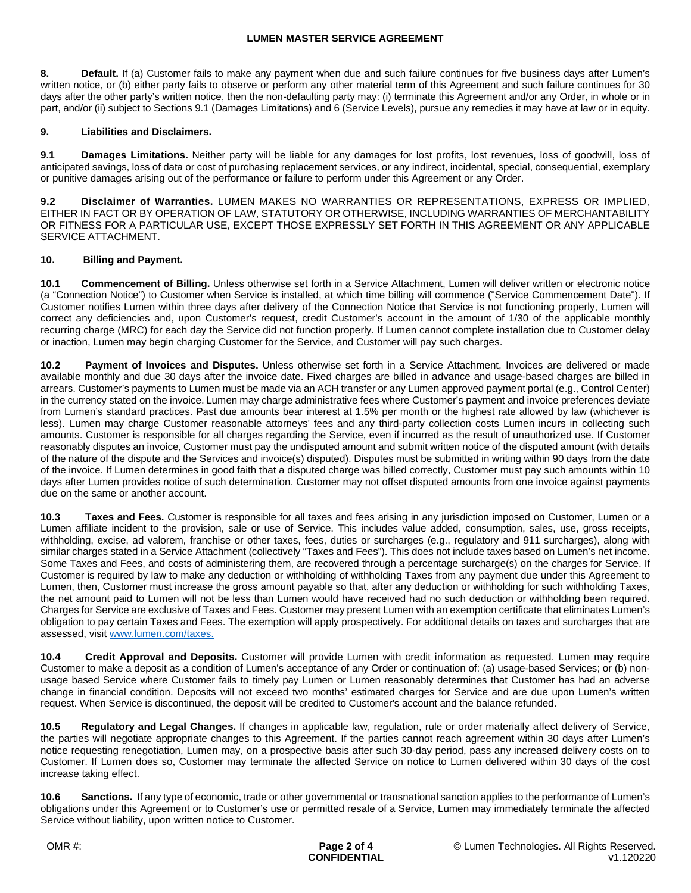**8. Default.** If (a) Customer fails to make any payment when due and such failure continues for five business days after Lumen's written notice, or (b) either party fails to observe or perform any other material term of this Agreement and such failure continues for 30 days after the other party's written notice, then the non-defaulting party may: (i) terminate this Agreement and/or any Order, in whole or in part, and/or (ii) subject to Sections 9.1 (Damages Limitations) and 6 (Service Levels), pursue any remedies it may have at law or in equity.

### **9. Liabilities and Disclaimers.**

**9.1 Damages Limitations.** Neither party will be liable for any damages for lost profits, lost revenues, loss of goodwill, loss of anticipated savings, loss of data or cost of purchasing replacement services, or any indirect, incidental, special, consequential, exemplary or punitive damages arising out of the performance or failure to perform under this Agreement or any Order.

**9.2 Disclaimer of Warranties.** LUMEN MAKES NO WARRANTIES OR REPRESENTATIONS, EXPRESS OR IMPLIED, EITHER IN FACT OR BY OPERATION OF LAW, STATUTORY OR OTHERWISE, INCLUDING WARRANTIES OF MERCHANTABILITY OR FITNESS FOR A PARTICULAR USE, EXCEPT THOSE EXPRESSLY SET FORTH IN THIS AGREEMENT OR ANY APPLICABLE SERVICE ATTACHMENT.

### **10. Billing and Payment.**

**10.1 Commencement of Billing.** Unless otherwise set forth in a Service Attachment, Lumen will deliver written or electronic notice (a "Connection Notice") to Customer when Service is installed, at which time billing will commence ("Service Commencement Date"). If Customer notifies Lumen within three days after delivery of the Connection Notice that Service is not functioning properly, Lumen will correct any deficiencies and, upon Customer's request, credit Customer's account in the amount of 1/30 of the applicable monthly recurring charge (MRC) for each day the Service did not function properly. If Lumen cannot complete installation due to Customer delay or inaction, Lumen may begin charging Customer for the Service, and Customer will pay such charges.

**10.2 Payment of Invoices and Disputes.** Unless otherwise set forth in a Service Attachment, Invoices are delivered or made available monthly and due 30 days after the invoice date. Fixed charges are billed in advance and usage-based charges are billed in arrears. Customer's payments to Lumen must be made via an ACH transfer or any Lumen approved payment portal (e.g., Control Center) in the currency stated on the invoice. Lumen may charge administrative fees where Customer's payment and invoice preferences deviate from Lumen's standard practices. Past due amounts bear interest at 1.5% per month or the highest rate allowed by law (whichever is less). Lumen may charge Customer reasonable attorneys' fees and any third-party collection costs Lumen incurs in collecting such amounts. Customer is responsible for all charges regarding the Service, even if incurred as the result of unauthorized use. If Customer reasonably disputes an invoice, Customer must pay the undisputed amount and submit written notice of the disputed amount (with details of the nature of the dispute and the Services and invoice(s) disputed). Disputes must be submitted in writing within 90 days from the date of the invoice. If Lumen determines in good faith that a disputed charge was billed correctly, Customer must pay such amounts within 10 days after Lumen provides notice of such determination. Customer may not offset disputed amounts from one invoice against payments due on the same or another account.

**10.3 Taxes and Fees.** Customer is responsible for all taxes and fees arising in any jurisdiction imposed on Customer, Lumen or a Lumen affiliate incident to the provision, sale or use of Service. This includes value added, consumption, sales, use, gross receipts, withholding, excise, ad valorem, franchise or other taxes, fees, duties or surcharges (e.g., regulatory and 911 surcharges), along with similar charges stated in a Service Attachment (collectively "Taxes and Fees"). This does not include taxes based on Lumen's net income. Some Taxes and Fees, and costs of administering them, are recovered through a percentage surcharge(s) on the charges for Service. If Customer is required by law to make any deduction or withholding of withholding Taxes from any payment due under this Agreement to Lumen, then, Customer must increase the gross amount payable so that, after any deduction or withholding for such withholding Taxes, the net amount paid to Lumen will not be less than Lumen would have received had no such deduction or withholding been required. Charges for Service are exclusive of Taxes and Fees. Customer may present Lumen with an exemption certificate that eliminates Lumen's obligation to pay certain Taxes and Fees. The exemption will apply prospectively. For additional details on taxes and surcharges that are assessed, visit [www.lumen.com/taxes](http://www.lumen.com/taxes).

**10.4 Credit Approval and Deposits.** Customer will provide Lumen with credit information as requested. Lumen may require Customer to make a deposit as a condition of Lumen's acceptance of any Order or continuation of: (a) usage-based Services; or (b) nonusage based Service where Customer fails to timely pay Lumen or Lumen reasonably determines that Customer has had an adverse change in financial condition. Deposits will not exceed two months' estimated charges for Service and are due upon Lumen's written request. When Service is discontinued, the deposit will be credited to Customer's account and the balance refunded.

**10.5 Regulatory and Legal Changes.** If changes in applicable law, regulation, rule or order materially affect delivery of Service, the parties will negotiate appropriate changes to this Agreement. If the parties cannot reach agreement within 30 days after Lumen's notice requesting renegotiation, Lumen may, on a prospective basis after such 30-day period, pass any increased delivery costs on to Customer. If Lumen does so, Customer may terminate the affected Service on notice to Lumen delivered within 30 days of the cost increase taking effect.

**10.6 Sanctions.** If any type of economic, trade or other governmental or transnational sanction applies to the performance of Lumen's obligations under this Agreement or to Customer's use or permitted resale of a Service, Lumen may immediately terminate the affected Service without liability, upon written notice to Customer.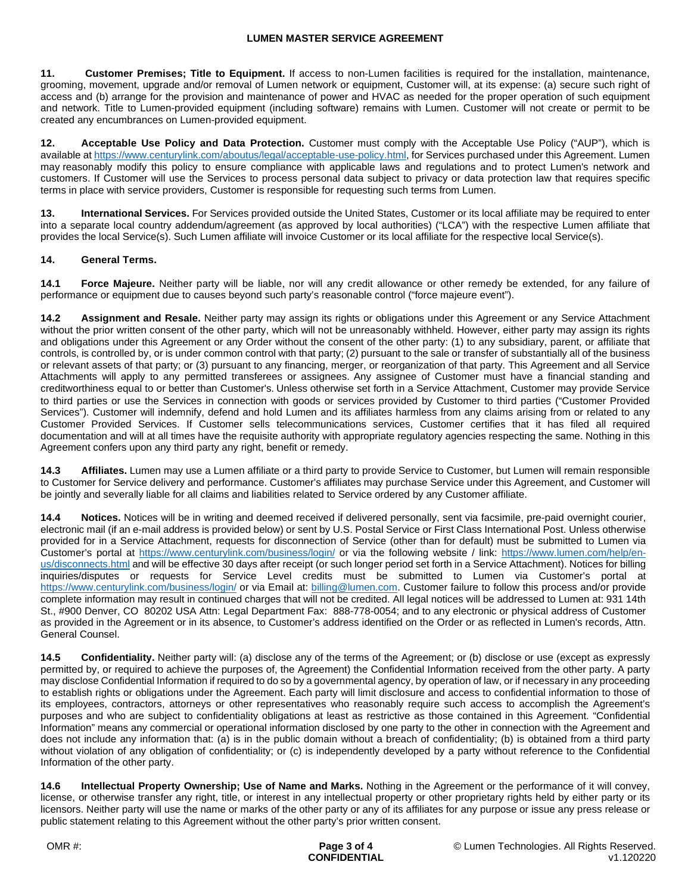**11. Customer Premises; Title to Equipment.** If access to non-Lumen facilities is required for the installation, maintenance, grooming, movement, upgrade and/or removal of Lumen network or equipment, Customer will, at its expense: (a) secure such right of access and (b) arrange for the provision and maintenance of power and HVAC as needed for the proper operation of such equipment and network. Title to Lumen-provided equipment (including software) remains with Lumen. Customer will not create or permit to be created any encumbrances on Lumen-provided equipment.

**12. Acceptable Use Policy and Data Protection.** Customer must comply with the Acceptable Use Policy ("AUP"), which is available at https://www.centurylink.com/aboutus/legal/acceptable-use-policy.html, for Services purchased under this Agreement. Lumen may reasonably modify this policy to ensure compliance with applicable laws and regulations and to protect Lumen's network and customers. If Customer will use the Services to process personal data subject to privacy or data protection law that requires specific terms in place with service providers, Customer is responsible for requesting such terms from Lumen.

**13. International Services.** For Services provided outside the United States, Customer or its local affiliate may be required to enter into a separate local country addendum/agreement (as approved by local authorities) ("LCA") with the respective Lumen affiliate that provides the local Service(s). Such Lumen affiliate will invoice Customer or its local affiliate for the respective local Service(s).

## **14. General Terms.**

**14.1 Force Majeure.** Neither party will be liable, nor will any credit allowance or other remedy be extended, for any failure of performance or equipment due to causes beyond such party's reasonable control ("force majeure event").

**14.2 Assignment and Resale.** Neither party may assign its rights or obligations under this Agreement or any Service Attachment without the prior written consent of the other party, which will not be unreasonably withheld. However, either party may assign its rights and obligations under this Agreement or any Order without the consent of the other party: (1) to any subsidiary, parent, or affiliate that controls, is controlled by, or is under common control with that party; (2) pursuant to the sale or transfer of substantially all of the business or relevant assets of that party; or (3) pursuant to any financing, merger, or reorganization of that party. This Agreement and all Service Attachments will apply to any permitted transferees or assignees. Any assignee of Customer must have a financial standing and creditworthiness equal to or better than Customer's. Unless otherwise set forth in a Service Attachment, Customer may provide Service to third parties or use the Services in connection with goods or services provided by Customer to third parties ("Customer Provided Services"). Customer will indemnify, defend and hold Lumen and its affiliates harmless from any claims arising from or related to any Customer Provided Services. If Customer sells telecommunications services, Customer certifies that it has filed all required documentation and will at all times have the requisite authority with appropriate regulatory agencies respecting the same. Nothing in this Agreement confers upon any third party any right, benefit or remedy.

**14.3 Affiliates.** Lumen may use a Lumen affiliate or a third party to provide Service to Customer, but Lumen will remain responsible to Customer for Service delivery and performance. Customer's affiliates may purchase Service under this Agreement, and Customer will be jointly and severally liable for all claims and liabilities related to Service ordered by any Customer affiliate.

**14.4 Notices.** Notices will be in writing and deemed received if delivered personally, sent via facsimile, pre-paid overnight courier, electronic mail (if an e-mail address is provided below) or sent by U.S. Postal Service or First Class International Post. Unless otherwise provided for in a Service Attachment, requests for disconnection of Service (other than for default) must be submitted to Lumen via Customer's portal at <https://www.centurylink.com/business/login/> or via the following website / link: [https://www.lumen.com/help/en](https://www.lumen.com/help/en-us/disconnects.html)[us/disconnects.html and will be effective 30 days after receipt \(or such longer period set forth in a Service Attachment\). Notices for billing](https://www.lumen.com/help/en-us/disconnects.html)  inquiries/disputes or requests for Service Level credits must be submitted to Lumen via Customer's portal at <https://www.centurylink.com/business/login/>or via Email at: [billing@lumen.com](mailto:billing@lumen.com). Customer failure to follow this process and/or provide complete information may result in continued charges that will not be credited. All legal notices will be addressed to Lumen at: 931 14th St., #900 Denver, CO 80202 USA Attn: Legal Department Fax: 888-778-0054; and to any electronic or physical address of Customer as provided in the Agreement or in its absence, to Customer's address identified on the Order or as reflected in Lumen's records, Attn. General Counsel.

**14.5 Confidentiality.** Neither party will: (a) disclose any of the terms of the Agreement; or (b) disclose or use (except as expressly permitted by, or required to achieve the purposes of, the Agreement) the Confidential Information received from the other party. A party may disclose Confidential Information if required to do so by a governmental agency, by operation of law, or if necessary in any proceeding to establish rights or obligations under the Agreement. Each party will limit disclosure and access to confidential information to those of its employees, contractors, attorneys or other representatives who reasonably require such access to accomplish the Agreement's purposes and who are subject to confidentiality obligations at least as restrictive as those contained in this Agreement. "Confidential Information" means any commercial or operational information disclosed by one party to the other in connection with the Agreement and does not include any information that: (a) is in the public domain without a breach of confidentiality; (b) is obtained from a third party without violation of any obligation of confidentiality; or (c) is independently developed by a party without reference to the Confidential Information of the other party.

**14.6 Intellectual Property Ownership; Use of Name and Marks.** Nothing in the Agreement or the performance of it will convey, license, or otherwise transfer any right, title, or interest in any intellectual property or other proprietary rights held by either party or its licensors. Neither party will use the name or marks of the other party or any of its affiliates for any purpose or issue any press release or public statement relating to this Agreement without the other party's prior written consent.